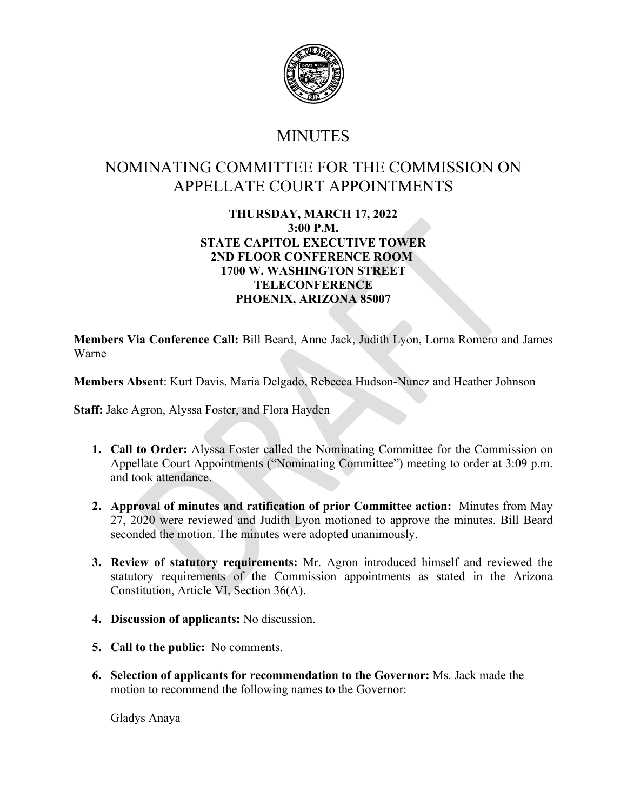

## **MINUTES**

## NOMINATING COMMITTEE FOR THE COMMISSION ON APPELLATE COURT APPOINTMENTS

## 3.00 P.M.<br>
STATE CAPITOL EXECUTIVE TOWER<br>
2ND FLOOR CONFERENCE ROOM<br>
1700 W. WASHINGTON STREET<br>
1700 W. WASHINGTON STREET<br>
1700 W. WASHINGTON STREET<br>
1700 W. WASHINGTON STREET<br>
PHOENIX, ARIZONA 85007<br>
7ia Conference Call: **THURSDAY, MARCH 17, 2022 3:00 P.M. STATE CAPITOL EXECUTIVE TOWER 2ND FLOOR CONFERENCE ROOM 1700 W. WASHINGTON STREET TELECONFERENCE PHOENIX, ARIZONA 85007**

**Members Via Conference Call:** Bill Beard, Anne Jack, Judith Lyon, Lorna Romero and James Warne

**Members Absent**: Kurt Davis, Maria Delgado, Rebecca Hudson-Nunez and Heather Johnson

**Staff:** Jake Agron, Alyssa Foster, and Flora Hayden

- **1. Call to Order:** Alyssa Foster called the Nominating Committee for the Commission on Appellate Court Appointments ("Nominating Committee") meeting to order at 3:09 p.m. and took attendance.
- **2. Approval of minutes and ratification of prior Committee action:** Minutes from May 27, 2020 were reviewed and Judith Lyon motioned to approve the minutes. Bill Beard seconded the motion. The minutes were adopted unanimously.
- **3. Review of statutory requirements:** Mr. Agron introduced himself and reviewed the statutory requirements of the Commission appointments as stated in the Arizona Constitution, Article VI, Section 36(A).
- **4. Discussion of applicants:** No discussion.
- **5. Call to the public:** No comments.
- **6. Selection of applicants for recommendation to the Governor:** Ms. Jack made the motion to recommend the following names to the Governor:

Gladys Anaya